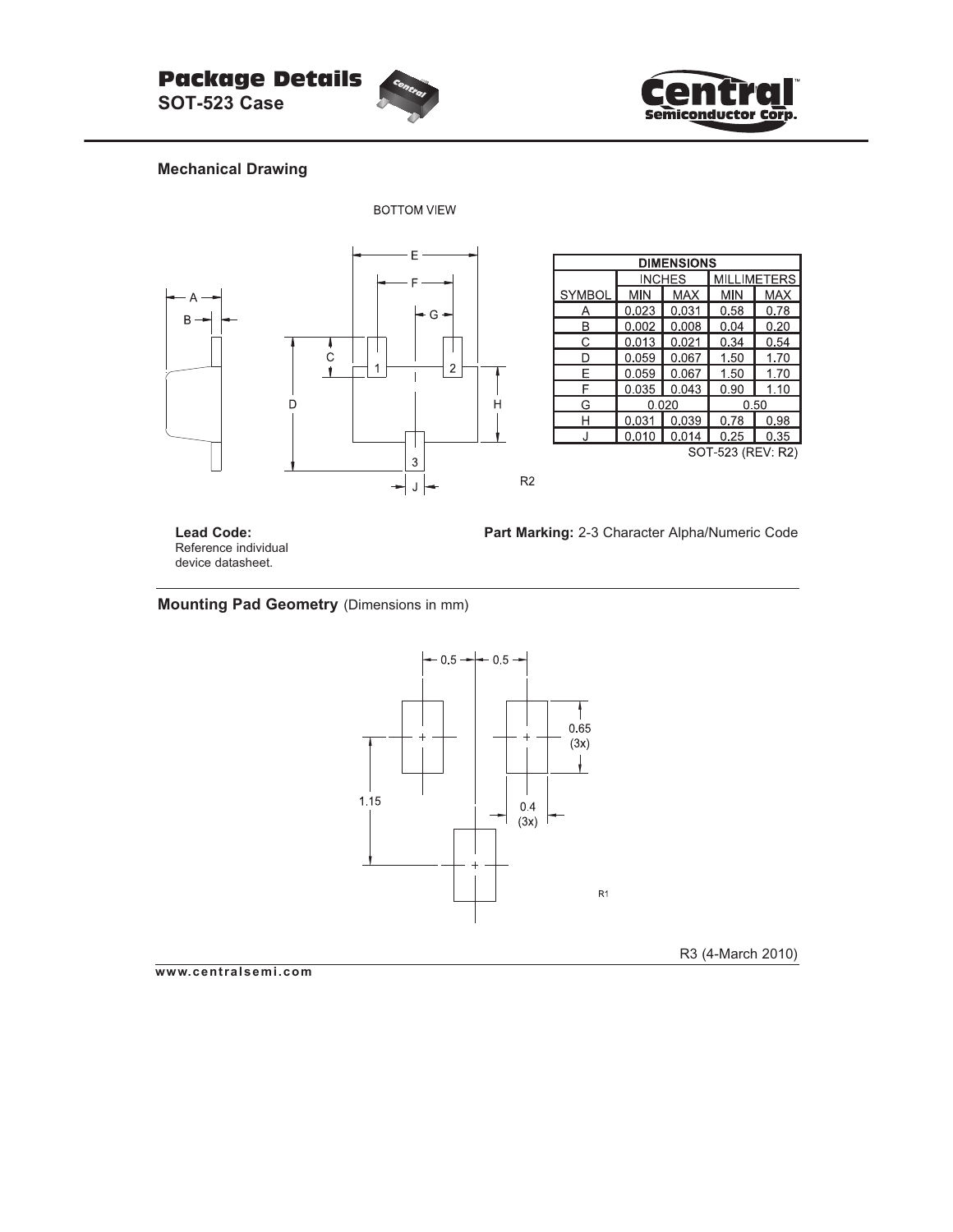



### **Mechanical Drawing**



| <b>DIMENSIONS</b> |       |               |                    |            |  |  |  |  |  |  |
|-------------------|-------|---------------|--------------------|------------|--|--|--|--|--|--|
|                   |       | <b>INCHES</b> | <b>MILLIMETERS</b> |            |  |  |  |  |  |  |
| <b>SYMBOL</b>     | MIN   | <b>MAX</b>    | <b>MIN</b>         | <b>MAX</b> |  |  |  |  |  |  |
| А                 | 0.023 | 0.031         | 0.58               | 0.78       |  |  |  |  |  |  |
| B                 | 0.002 | 0.008         | 0.04               | 0.20       |  |  |  |  |  |  |
| С                 | 0.013 | 0.021         | 0.34               | 0.54       |  |  |  |  |  |  |
| D                 | 0.059 | 0.067         | 1.50               | 1.70       |  |  |  |  |  |  |
| F                 | 0.059 | 0.067         | 1.50               | 1.70       |  |  |  |  |  |  |
| F                 | 0.035 | 0.043         | 0.90               | 1.10       |  |  |  |  |  |  |
| G                 |       | 0.020         | 0.50               |            |  |  |  |  |  |  |
| н                 | 0.031 | 0.039         | 0.78               | 0.98       |  |  |  |  |  |  |
| J                 | 0.010 | 0.014         | 0.25               | 0.35       |  |  |  |  |  |  |
| SOT-523 (REV: R2) |       |               |                    |            |  |  |  |  |  |  |

**Lead Code:** Reference individual device datasheet.

**Part Marking:** 2-3 Character Alpha/Numeric Code

**Mounting Pad Geometry** (Dimensions in mm)



R3 (4-March 2010)

**www.centralsemi.com**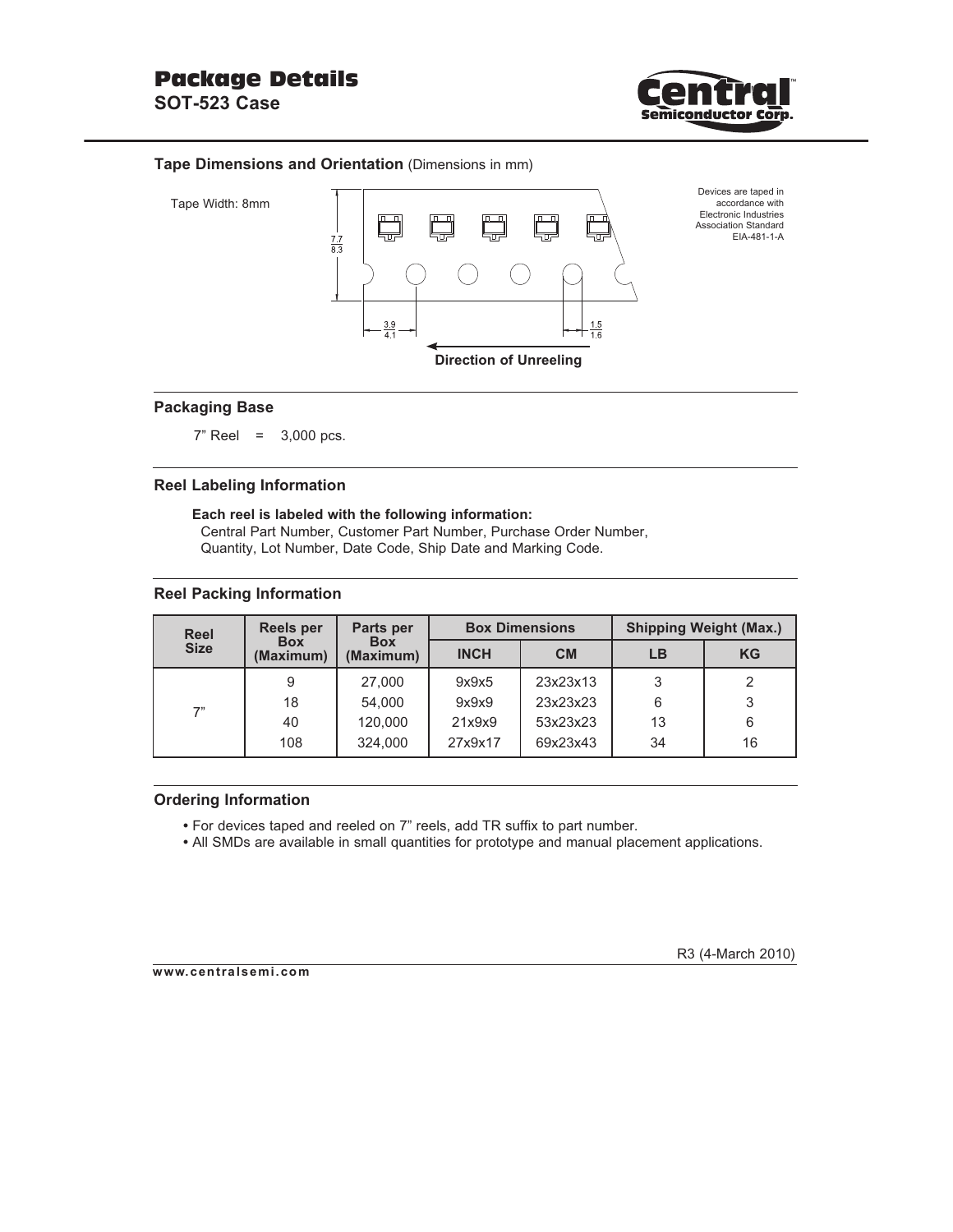

### **Tape Dimensions and Orientation** (Dimensions in mm)



### **Packaging Base**

7" Reel = 3,000 pcs.

### **Reel Labeling Information**

## **Each reel is labeled with the following information:**

 Central Part Number, Customer Part Number, Purchase Order Number, Quantity, Lot Number, Date Code, Ship Date and Marking Code.

### **Reel Packing Information**

| <b>Reel</b> | <b>Reels per</b>        | Parts per               |             | <b>Box Dimensions</b> | <b>Shipping Weight (Max.)</b> |           |  |  |  |
|-------------|-------------------------|-------------------------|-------------|-----------------------|-------------------------------|-----------|--|--|--|
| <b>Size</b> | <b>Box</b><br>(Maximum) | <b>Box</b><br>(Maximum) | <b>INCH</b> | <b>CM</b>             | LB                            | <b>KG</b> |  |  |  |
|             | 9                       | 27,000                  | 9x9x5       | 23x23x13              | 3                             | 2         |  |  |  |
| 7"          | 18                      | 54,000                  | 9x9x9       | 23x23x23              | 6                             | 3         |  |  |  |
|             | 40                      | 120,000                 | 21x9x9      | 53x23x23              | 13                            | 6         |  |  |  |
|             | 108                     | 324,000                 | 27x9x17     | 69x23x43              | 34                            | 16        |  |  |  |

#### **Ordering Information**

- For devices taped and reeled on 7" reels, add TR suffix to part number.
- All SMDs are available in small quantities for prototype and manual placement applications.

**www.centralsemi.com**

R3 (4-March 2010)